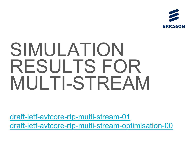

# SIMULATION RESULTS FOR MULTI-STREAM

draft-ietf-avtcore-rtp-multi-stream-01 draft-ietf-avtcore-rtp-multi-stream-optimisation-00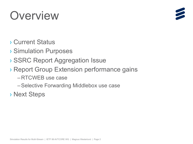## Overview



- **Current Status**
- **> Simulation Purposes**
- > SSRC Report Aggregation Issue
- > Report Group Extension performance gains
	- -RTCWEB use case
	- -Selective Forwarding Middlebox use case
- **Next Steps**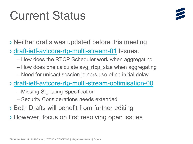## **Current Status**



> Neither drafts was updated before this meeting

> draft-ietf-avtcore-rtp-multi-stream-01 Issues:

- -How does the RTCP Scheduler work when aggregating
- -How does one calculate avg\_rtcp\_size when aggregating
- -Need for unicast session joiners use of no initial delay

> draft-ietf-avtcore-rtp-multi-stream-optimisation-00

- -Missing Signaling Specification
- -Security Considerations needs extended
- > Both Drafts will benefit from further editing
- > However, focus on first resolving open issues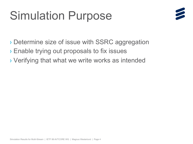## **Simulation Purpose**



- > Determine size of issue with SSRC aggregation
- > Enable trying out proposals to fix issues
- > Verifying that what we write works as intended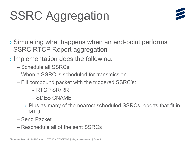# **SSRC Aggregation**



- > Simulating what happens when an end-point performs **SSRC RTCP Report aggregation**
- > Implementation does the following:
	- -Schedule all SSRCs
	- -When a SSRC is scheduled for transmission
	- Fill compound packet with the triggered SSRC's:
		- RTCP SR/RR
		- SDES CNAME
		- $\rightarrow$  Plus as many of the nearest scheduled SSRCs reports that fit in **MTU**
	- -Send Packet
	- -Reschedule all of the sent SSRCs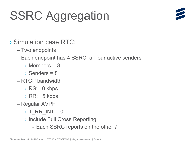# **SSRC Aggregation**



> Simulation case RTC:

-Two endpoints

-Each endpoint has 4 SSRC, all four active senders

 $\rightarrow$  Members = 8

 $\rightarrow$  Senders = 8

 $-$ RTCP bandwidth

RS: 10 kbps

RR: 15 kbps

-Regular AVPF

 $\rightarrow$  T RR INT = 0

- > Include Full Cross Reporting
	- Each SSRC reports on the other 7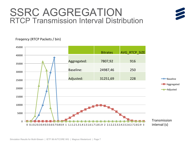### SSRC AGGREGATION RTCP Transmission Interval Distribution



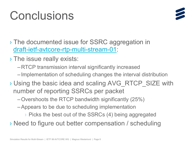#### -Appears to be due to scheduling implementation

> The issue really exists:

> Picks the best out of the SSRCs (4) being aggregated

-Implementation of scheduling changes the interval distribution

> Using the basic idea and scaling AVG RTCP SIZE with

> Need to figure out better compensation / scheduling

#### Simulation Results for Multi-Stream | IETF 88 AVTCORE WG | Magnus Westerlund | Page 8

> The documented issue for SSRC aggregation in draft-ietf-avtcore-rtp-multi-stream-01:

-RTCP transmission interval significantly increased

 $-$  Overshoots the RTCP bandwidth significantly (25%)

number of reporting SSRCs per packet

# Conclusions

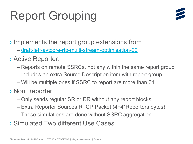# **Report Grouping**



Implements the report group extensions from

-draft-ietf-avtcore-rtp-multi-stream-optimisation-00

> Active Reporter:

- -Reports on remote SSRCs, not any within the same report group
- -Includes an extra Source Description item with report group
- -Will be multiple ones if SSRC to report are more than 31
- **> Non Reporter** 
	- -Only sends regular SR or RR without any report blocks
	- -Extra Reporter Sources RTCP Packet (4+4\*Reporters bytes)
	- -These simulations are done without SSRC aggregation
- > Simulated Two different Use Cases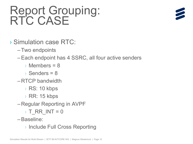# Report Grouping:<br>RTC CASE



- > Simulation case RTC:
	- -Two endpoints
	- -Each endpoint has 4 SSRC, all four active senders
		- $\rightarrow$  Members = 8
		- $\rightarrow$  Senders = 8
	- $-$ RTCP bandwidth
		- RS: 10 kbps
		- RR: 15 kbps
	- -Regular Reporting in AVPF
		- $\rightarrow$  T RR INT = 0
	- -Baseline:
		- > Include Full Cross Reporting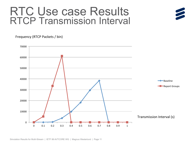## RTC Use case Results RTCP Transmission Interval

Frequency (RTCP Packets / bin)

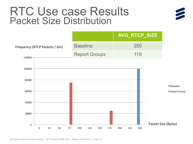## **RTC Use case Results Packet Size Distribution**



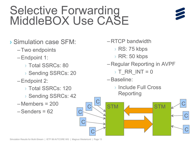# Selective Forwarding<br>MiddleBOX Use CASE



- > Simulation case SFM:
	- -Two endpoints
	- -Endpoint 1:
		- > Total SSRCs: 80
		- > Sending SSRCs: 20
	- -Endpoint 2:
		- > Total SSRCs: 120
		- > Sending SSRCs: 42
	- $-Members = 200$
	- $-$ Senders = 62
- $-$ RTCP bandwidth
	- ▶ RS: 75 kbps
	- RR: 50 kbps
- -Regular Reporting in AVPF
	- $T_R$ RR\_INT = 0
- -Baseline:
	- > Include Full Cross Reporting

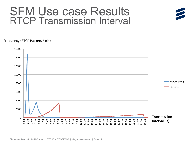## SFM Use case Results RTCP Transmission Interval

#### Frequency (RTCP Packets / bin)



 $\overline{\phantom{a}}$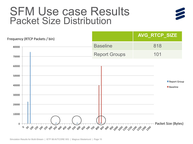## **SFM Use case Results Packet Size Distribution**



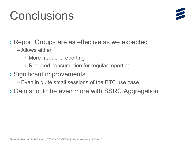## Conclusions



> Report Groups are as effective as we expected

- -Allows either
	- $\rightarrow$  More frequent reporting
	- $\rightarrow$  Reduced consumption for regular reporting
- > Significant improvements
	- Even in quite small sessions of the RTC use case
- > Gain should be even more with SSRC Aggregation